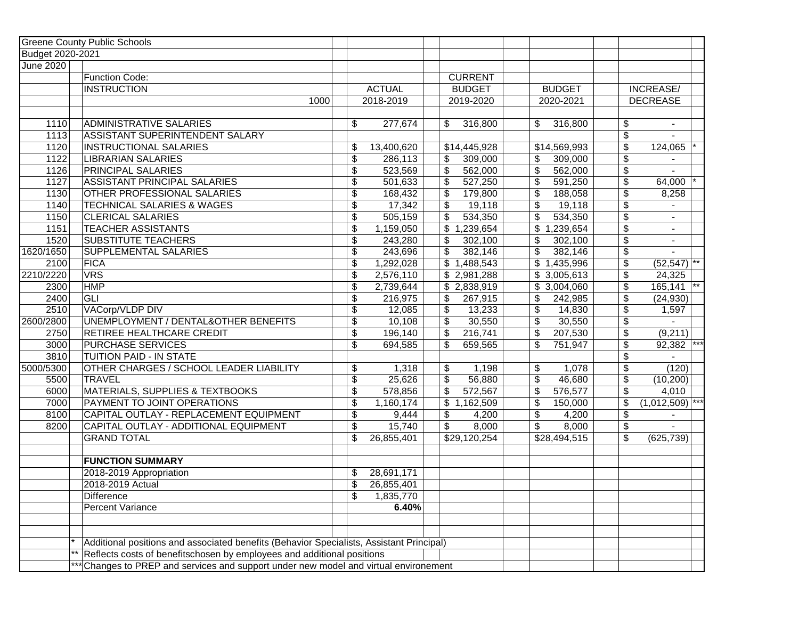|                  | <b>Greene County Public Schools</b>                                                      |                                    |               |                           |                           |               |                                        |                   |       |
|------------------|------------------------------------------------------------------------------------------|------------------------------------|---------------|---------------------------|---------------------------|---------------|----------------------------------------|-------------------|-------|
| Budget 2020-2021 |                                                                                          |                                    |               |                           |                           |               |                                        |                   |       |
| <b>June 2020</b> |                                                                                          |                                    |               |                           |                           |               |                                        |                   |       |
|                  | Function Code:                                                                           |                                    |               | <b>CURRENT</b>            |                           |               |                                        |                   |       |
|                  | <b>INSTRUCTION</b>                                                                       |                                    | <b>ACTUAL</b> | <b>BUDGET</b>             |                           | <b>BUDGET</b> |                                        | INCREASE/         |       |
|                  | 1000                                                                                     |                                    | 2018-2019     | 2019-2020                 |                           | 2020-2021     |                                        | <b>DECREASE</b>   |       |
|                  |                                                                                          |                                    |               |                           |                           |               |                                        |                   |       |
| 1110             | <b>ADMINISTRATIVE SALARIES</b>                                                           | \$                                 | 277,674       | \$<br>316,800             | \$                        | 316,800       | \$                                     | $\blacksquare$    |       |
| 1113             | ASSISTANT SUPERINTENDENT SALARY                                                          |                                    |               |                           |                           |               | \$                                     |                   |       |
| 1120             | <b>INSTRUCTIONAL SALARIES</b>                                                            | \$                                 | 13,400,620    | \$14,445,928              |                           | \$14,569,993  | \$                                     | 124,065           |       |
| 1122             | <b>LIBRARIAN SALARIES</b>                                                                | $\overline{\$}$                    | 286,113       | 309,000<br>\$             | \$                        | 309,000       | \$                                     |                   |       |
| 1126             | <b>PRINCIPAL SALARIES</b>                                                                | \$                                 | 523,569       | \$<br>562,000             | \$                        | 562,000       | \$                                     |                   |       |
| 1127             | ASSISTANT PRINCIPAL SALARIES                                                             | \$                                 | 501,633       | \$<br>527,250             | \$                        | 591,250       | \$                                     | 64,000            |       |
| 1130             | OTHER PROFESSIONAL SALARIES                                                              | \$                                 | 168,432       | \$<br>179,800             | \$                        | 188,058       | $\boldsymbol{\mathsf{S}}$              | 8,258             |       |
| 1140             | <b>TECHNICAL SALARIES &amp; WAGES</b>                                                    | \$                                 | 17,342        | \$<br>19,118              | \$                        | 19,118        | $\frac{1}{2}$                          |                   |       |
| 1150             | <b>CLERICAL SALARIES</b>                                                                 | \$                                 | 505,159       | \$<br>534,350             | \$                        | 534,350       | $\frac{1}{2}$                          |                   |       |
| 1151             | <b>TEACHER ASSISTANTS</b>                                                                | \$                                 | 1,159,050     | 1,239,654<br>\$           | \$                        | 1,239,654     | $\boldsymbol{\mathsf{S}}$              |                   |       |
| 1520             | <b>SUBSTITUTE TEACHERS</b>                                                               | $\overline{\boldsymbol{\theta}}$   | 243,280       | \$<br>302,100             | \$                        | 302,100       | $\boldsymbol{\mathsf{S}}$              | $\blacksquare$    |       |
| 1620/1650        | SUPPLEMENTAL SALARIES                                                                    | $\overline{\mathcal{L}}$           | 243,696       | \$<br>382,146             | \$                        | 382,146       | $\frac{1}{2}$                          |                   |       |
| 2100             | <b>FICA</b>                                                                              | \$                                 | 1,292,028     | \$1,488,543               |                           | \$1,435,996   | $\boldsymbol{\mathsf{S}}$              | $(52,547)$ **     |       |
| 2210/2220        | <b>VRS</b>                                                                               | \$                                 | 2,576,110     | \$2,981,288               |                           | \$3,005,613   | $\boldsymbol{\mathsf{S}}$              | 24,325            |       |
| 2300             | <b>HMP</b>                                                                               | \$                                 | 2,739,644     | \$2,838,919               | \$                        | 3,004,060     | \$                                     | 165,141           |       |
| 2400             | GLI                                                                                      | $\overline{\mathcal{L}}$           | 216,975       | \$<br>267,915             | \$                        | 242,985       | \$                                     | (24, 930)         |       |
| 2510             | VACorp/VLDP DIV                                                                          | \$                                 | 12,085        | 13,233<br>\$              | \$                        | 14,830        | \$                                     | 1,597             |       |
| 2600/2800        | UNEMPLOYMENT / DENTAL&OTHER BENEFITS                                                     | \$                                 | 10,108        | \$<br>30,550              | \$                        | 30,550        | \$                                     |                   |       |
| 2750             | <b>RETIREE HEALTHCARE CREDIT</b>                                                         | $\overline{\$}$                    | 196,140       | \$<br>216,741             | \$                        | 207,530       | \$                                     | (9,211)           |       |
| 3000             | <b>PURCHASE SERVICES</b>                                                                 | $\overline{\boldsymbol{\epsilon}}$ | 694,585       | \$<br>659,565             | \$                        | 751,947       | $\sqrt[6]{\frac{1}{2}}$                | 92,382            | $***$ |
| 3810             | <b>TUITION PAID - IN STATE</b>                                                           |                                    |               |                           |                           |               | \$                                     |                   |       |
| 5000/5300        | OTHER CHARGES / SCHOOL LEADER LIABILITY                                                  | \$                                 | 1,318         | \$<br>1,198               | \$                        | 1,078         | $\overline{\boldsymbol{\mathfrak{s}}}$ | (120)             |       |
| 5500             | <b>TRAVEL</b>                                                                            | $\overline{\$}$                    | 25,626        | \$<br>56,880              | $\overline{\mathcal{S}}$  | 46,680        | $\overline{\$}$                        | (10, 200)         |       |
| 6000             | MATERIALS, SUPPLIES & TEXTBOOKS                                                          | \$                                 | 578,856       | \$<br>572,567             | $\boldsymbol{\mathsf{S}}$ | 576,577       | \$                                     | 4,010             |       |
| 7000             | PAYMENT TO JOINT OPERATIONS                                                              | \$                                 | 1,160,174     | $\overline{\$}$ 1,162,509 | \$                        | 150,000       | $\boldsymbol{\mathsf{S}}$              | $(1,012,509)$ *** |       |
| 8100             | CAPITAL OUTLAY - REPLACEMENT EQUIPMENT                                                   | \$                                 | 9,444         | \$<br>4,200               | \$                        | 4,200         | \$                                     |                   |       |
| 8200             | CAPITAL OUTLAY - ADDITIONAL EQUIPMENT                                                    | $\overline{\mathcal{L}}$           | 15,740        | \$<br>8,000               | \$                        | 8,000         | \$                                     |                   |       |
|                  | <b>GRAND TOTAL</b>                                                                       | \$                                 | 26,855,401    | $\overline{$}29,120,254$  |                           | \$28,494,515  | \$                                     | (625, 739)        |       |
|                  |                                                                                          |                                    |               |                           |                           |               |                                        |                   |       |
|                  | <b>FUNCTION SUMMARY</b>                                                                  |                                    |               |                           |                           |               |                                        |                   |       |
|                  | 2018-2019 Appropriation                                                                  | \$                                 | 28,691,171    |                           |                           |               |                                        |                   |       |
|                  | 2018-2019 Actual                                                                         | \$                                 | 26,855,401    |                           |                           |               |                                        |                   |       |
|                  | Difference                                                                               | \$                                 | 1,835,770     |                           |                           |               |                                        |                   |       |
|                  | <b>Percent Variance</b>                                                                  |                                    | 6.40%         |                           |                           |               |                                        |                   |       |
|                  |                                                                                          |                                    |               |                           |                           |               |                                        |                   |       |
|                  |                                                                                          |                                    |               |                           |                           |               |                                        |                   |       |
|                  | Additional positions and associated benefits (Behavior Specialists, Assistant Principal) |                                    |               |                           |                           |               |                                        |                   |       |
|                  | Reflects costs of benefitschosen by employees and additional positions                   |                                    |               |                           |                           |               |                                        |                   |       |
|                  | *** Changes to PREP and services and support under new model and virtual environement    |                                    |               |                           |                           |               |                                        |                   |       |
|                  |                                                                                          |                                    |               |                           |                           |               |                                        |                   |       |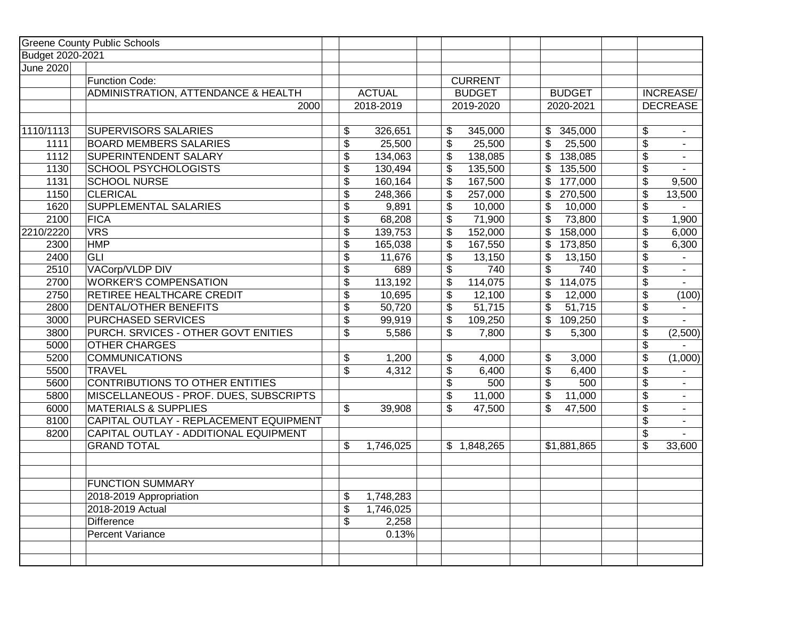|                  | <b>Greene County Public Schools</b>    |                           |               |                |                                      |                 |                 |
|------------------|----------------------------------------|---------------------------|---------------|----------------|--------------------------------------|-----------------|-----------------|
| Budget 2020-2021 |                                        |                           |               |                |                                      |                 |                 |
| June 2020        |                                        |                           |               |                |                                      |                 |                 |
|                  | Function Code:                         |                           |               | <b>CURRENT</b> |                                      |                 |                 |
|                  | ADMINISTRATION, ATTENDANCE & HEALTH    |                           | <b>ACTUAL</b> | <b>BUDGET</b>  | <b>BUDGET</b>                        |                 | INCREASE/       |
|                  | 2000                                   |                           | 2018-2019     | 2019-2020      | 2020-2021                            |                 | <b>DECREASE</b> |
|                  |                                        |                           |               |                |                                      |                 |                 |
| 1110/1113        | <b>SUPERVISORS SALARIES</b>            | \$                        | 326,651       | \$<br>345,000  | 345,000<br>$\mathbb{S}$              | \$              |                 |
| 1111             | <b>BOARD MEMBERS SALARIES</b>          | \$                        | 25,500        | \$<br>25,500   | \$<br>25,500                         | \$              |                 |
| 1112             | <b>SUPERINTENDENT SALARY</b>           | \$                        | 134,063       | \$<br>138,085  | 138,085                              | \$              | $\blacksquare$  |
| 1130             | <b>SCHOOL PSYCHOLOGISTS</b>            | \$                        | 130,494       | \$<br>135,500  | 135,500                              | \$              |                 |
| 1131             | <b>SCHOOL NURSE</b>                    | \$                        | 160,164       | \$<br>167,500  | 177,000                              | $\overline{\$}$ | 9,500           |
| 1150             | <b>CLERICAL</b>                        | \$                        | 248,366       | \$<br>257,000  | 270,500                              | \$              | 13,500          |
| 1620             | SUPPLEMENTAL SALARIES                  | \$                        | 9,891         | \$<br>10,000   | 10,000                               | \$              |                 |
| 2100             | FICA                                   | \$                        | 68,208        | \$<br>71,900   | 73,800                               | \$              | 1,900           |
| 2210/2220        | <b>VRS</b>                             | \$                        | 139,753       | \$<br>152,000  | 158,000                              | \$              | 6,000           |
| 2300             | HMP                                    | $\boldsymbol{\mathsf{S}}$ | 165,038       | \$<br>167,550  | 173,850                              | \$              | 6,300           |
| 2400             | GLI                                    | \$                        | 11,676        | \$<br>13,150   | $\boldsymbol{\mathsf{S}}$<br>13,150  | \$              |                 |
| 2510             | VACorp/VLDP DIV                        | \$                        | 689           | \$<br>740      | \$<br>740                            | \$              | $\sim$          |
| 2700             | <b>WORKER'S COMPENSATION</b>           | \$                        | 113,192       | \$<br>114,075  | \$<br>114,075                        | \$              |                 |
| 2750             | RETIREE HEALTHCARE CREDIT              | \$                        | 10,695        | \$<br>12,100   | \$<br>12,000                         | \$              | (100)           |
| 2800             | <b>DENTAL/OTHER BENEFITS</b>           | \$                        | 50,720        | \$<br>51,715   | \$<br>51,715                         | \$              |                 |
| 3000             | <b>PURCHASED SERVICES</b>              | \$                        | 99,919        | \$<br>109,250  | $\boldsymbol{\mathsf{S}}$<br>109,250 | \$              |                 |
| 3800             | PURCH. SRVICES - OTHER GOVT ENITIES    | \$                        | 5,586         | \$<br>7,800    | \$<br>5,300                          | \$              | (2,500)         |
| 5000             | <b>OTHER CHARGES</b>                   |                           |               |                |                                      | \$              |                 |
| 5200             | <b>COMMUNICATIONS</b>                  | \$                        | 1,200         | \$<br>4,000    | \$<br>3,000                          | \$              | (1,000)         |
| 5500             | <b>TRAVEL</b>                          | \$                        | 4,312         | \$<br>6,400    | \$<br>6,400                          | \$              |                 |
| 5600             | CONTRIBUTIONS TO OTHER ENTITIES        |                           |               | \$<br>500      | $\mathsf{\$}$<br>500                 | \$              | $\sim$          |
| 5800             | MISCELLANEOUS - PROF. DUES, SUBSCRIPTS |                           |               | \$<br>11,000   | \$<br>11,000                         | \$              | $\blacksquare$  |
| 6000             | <b>MATERIALS &amp; SUPPLIES</b>        | \$                        | 39,908        | \$<br>47,500   | $\overline{\$}$<br>47,500            | \$              | $\blacksquare$  |
| 8100             | CAPITAL OUTLAY - REPLACEMENT EQUIPMENT |                           |               |                |                                      | \$              | $\sim$          |
| 8200             | CAPITAL OUTLAY - ADDITIONAL EQUIPMENT  |                           |               |                |                                      | \$              |                 |
|                  | <b>GRAND TOTAL</b>                     | \$                        | 1,746,025     | \$1,848,265    | \$1,881,865                          | \$              | 33,600          |
|                  |                                        |                           |               |                |                                      |                 |                 |
|                  |                                        |                           |               |                |                                      |                 |                 |
|                  | <b>FUNCTION SUMMARY</b>                |                           |               |                |                                      |                 |                 |
|                  | 2018-2019 Appropriation                | \$                        | 1,748,283     |                |                                      |                 |                 |
|                  | 2018-2019 Actual                       | \$                        | 1,746,025     |                |                                      |                 |                 |
|                  | <b>Difference</b>                      | \$                        | 2,258         |                |                                      |                 |                 |
|                  | <b>Percent Variance</b>                |                           | 0.13%         |                |                                      |                 |                 |
|                  |                                        |                           |               |                |                                      |                 |                 |
|                  |                                        |                           |               |                |                                      |                 |                 |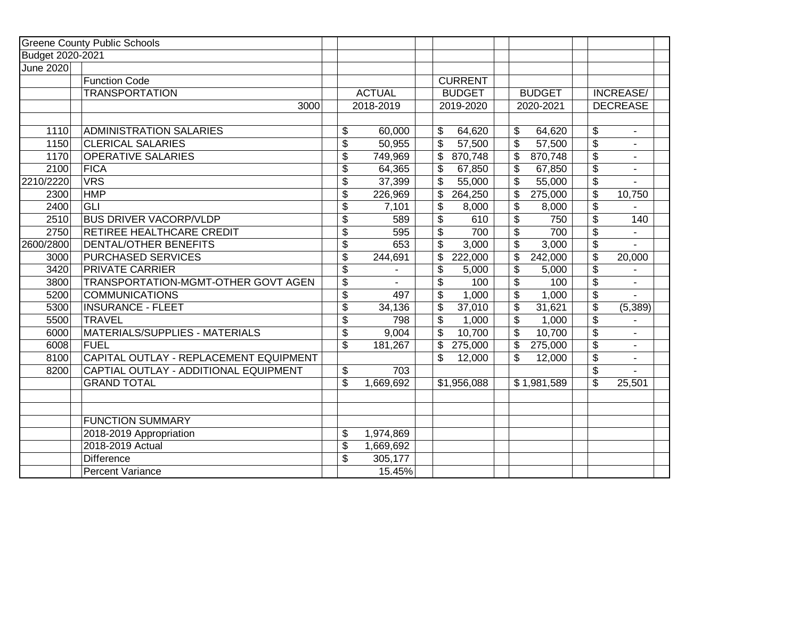|                  | <b>Greene County Public Schools</b>    |                                  |               |                                  |               |                                             |  |
|------------------|----------------------------------------|----------------------------------|---------------|----------------------------------|---------------|---------------------------------------------|--|
| Budget 2020-2021 |                                        |                                  |               |                                  |               |                                             |  |
| June 2020        |                                        |                                  |               |                                  |               |                                             |  |
|                  | <b>Function Code</b>                   |                                  |               | <b>CURRENT</b>                   |               |                                             |  |
|                  | <b>TRANSPORTATION</b>                  |                                  | <b>ACTUAL</b> | <b>BUDGET</b>                    | <b>BUDGET</b> | INCREASE/                                   |  |
|                  | 3000                                   |                                  | 2018-2019     | 2019-2020                        | 2020-2021     | <b>DECREASE</b>                             |  |
|                  |                                        |                                  |               |                                  |               |                                             |  |
| 1110             | ADMINISTRATION SALARIES                | \$                               | 60,000        | 64,620<br>\$                     | \$<br>64,620  | $\boldsymbol{\mathsf{S}}$                   |  |
| 1150             | <b>CLERICAL SALARIES</b>               | $\boldsymbol{\mathsf{S}}$        | 50,955        | \$<br>57,500                     | \$<br>57,500  | $\overline{\mathcal{S}}$                    |  |
| 1170             | <b>OPERATIVE SALARIES</b>              | $\boldsymbol{\mathsf{S}}$        | 749,969       | \$<br>870,748                    | \$<br>870,748 | $\boldsymbol{\mathsf{S}}$                   |  |
| 2100             | <b>FICA</b>                            | \$                               | 64,365        | \$<br>67,850                     | \$<br>67,850  | $\sqrt{2}$                                  |  |
| 2210/2220        | <b>VRS</b>                             | $\overline{\mathcal{S}}$         | 37,399        | \$<br>55,000                     | \$<br>55,000  | $\overline{\$}$                             |  |
| 2300             | <b>HMP</b>                             | $\boldsymbol{\theta}$            | 226,969       | \$<br>264,250                    | \$<br>275,000 | $\boldsymbol{\mathsf{S}}$<br>10,750         |  |
| 2400             | <b>GLI</b>                             | $\boldsymbol{\theta}$            | 7,101         | \$<br>8,000                      | \$<br>8,000   | \$                                          |  |
| 2510             | <b>BUS DRIVER VACORP/VLDP</b>          | \$                               | 589           | \$<br>610                        | \$<br>750     | $\boldsymbol{\mathsf{S}}$<br>140            |  |
| 2750             | <b>RETIREE HEALTHCARE CREDIT</b>       | $\overline{\boldsymbol{\theta}}$ | 595           | $\overline{\mathcal{S}}$<br>700  | \$<br>700     | $\overline{\mathfrak{s}}$                   |  |
| 2600/2800        | DENTAL/OTHER BENEFITS                  | $\boldsymbol{\mathsf{S}}$        | 653           | \$<br>3,000                      | \$<br>3,000   | $\boldsymbol{\mathsf{S}}$<br>$\overline{a}$ |  |
| 3000             | <b>PURCHASED SERVICES</b>              | $\boldsymbol{\theta}$            | 244,691       | \$<br>222,000                    | \$<br>242,000 | $\boldsymbol{\mathsf{S}}$<br>20,000         |  |
| 3420             | <b>PRIVATE CARRIER</b>                 | $\overline{\mathcal{S}}$         |               | \$<br>5,000                      | \$<br>5,000   | $\overline{\mathcal{S}}$                    |  |
| 3800             | TRANSPORTATION-MGMT-OTHER GOVT AGEN    | $\boldsymbol{\mathsf{S}}$        |               | $\boldsymbol{\mathsf{S}}$<br>100 | \$<br>100     | $\boldsymbol{\mathsf{S}}$                   |  |
| 5200             | COMMUNICATIONS                         | $\boldsymbol{\mathsf{S}}$        | 497           | \$<br>1,000                      | \$<br>1,000   | $\boldsymbol{\mathsf{S}}$                   |  |
| 5300             | <b>INSURANCE - FLEET</b>               | $\overline{\$}$                  | 34,136        | \$<br>37,010                     | \$<br>31,621  | \$<br>(5, 389)                              |  |
| 5500             | <b>TRAVEL</b>                          | $\overline{\mathcal{S}}$         | 798           | \$<br>1,000                      | \$<br>1,000   | $\overline{\mathbf{S}}$                     |  |
| 6000             | MATERIALS/SUPPLIES - MATERIALS         | $\boldsymbol{\mathsf{S}}$        | 9,004         | \$<br>10,700                     | \$<br>10,700  | $\boldsymbol{\mathsf{S}}$                   |  |
| 6008             | FUEL                                   | $\overline{\mathcal{S}}$         | 181,267       | \$<br>275,000                    | \$<br>275,000 | $\overline{\mathcal{L}}$                    |  |
| 8100             | CAPITAL OUTLAY - REPLACEMENT EQUIPMENT |                                  |               | \$<br>12,000                     | \$<br>12,000  | \$                                          |  |
| 8200             | CAPTIAL OUTLAY - ADDITIONAL EQUIPMENT  | \$                               | 703           |                                  |               | \$                                          |  |
|                  | <b>GRAND TOTAL</b>                     | $\mathfrak{S}$                   | 1,669,692     | \$1,956,088                      | \$1,981,589   | \$<br>25,501                                |  |
|                  | <b>FUNCTION SUMMARY</b>                |                                  |               |                                  |               |                                             |  |
|                  | 2018-2019 Appropriation                | \$                               | 1,974,869     |                                  |               |                                             |  |
|                  | 2018-2019 Actual                       | \$                               | 1,669,692     |                                  |               |                                             |  |
|                  | <b>Difference</b>                      | \$                               | 305,177       |                                  |               |                                             |  |
|                  | Percent Variance                       |                                  | 15.45%        |                                  |               |                                             |  |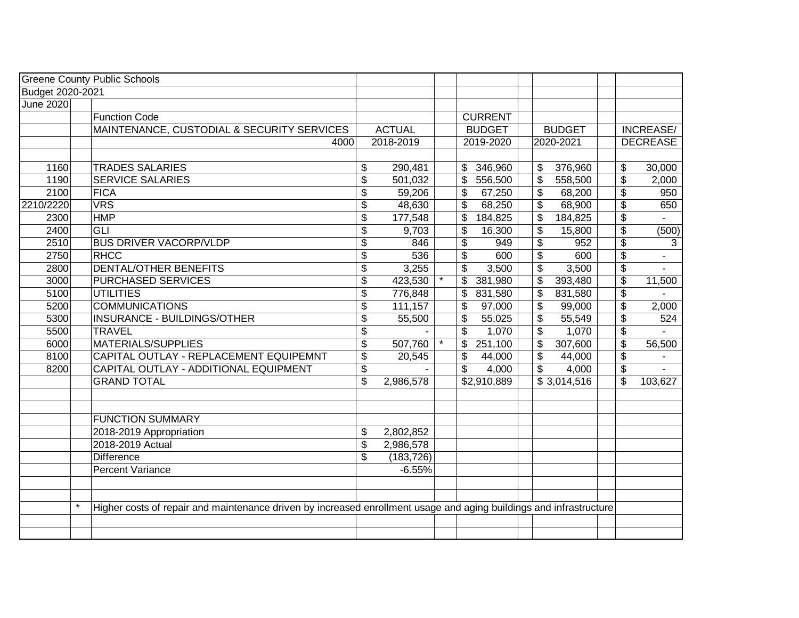|                  |         | <b>Greene County Public Schools</b>                                                                                |                           |               |         |                                 |                                        |                         |                                        |                 |
|------------------|---------|--------------------------------------------------------------------------------------------------------------------|---------------------------|---------------|---------|---------------------------------|----------------------------------------|-------------------------|----------------------------------------|-----------------|
| Budget 2020-2021 |         |                                                                                                                    |                           |               |         |                                 |                                        |                         |                                        |                 |
| <b>June 2020</b> |         |                                                                                                                    |                           |               |         |                                 |                                        |                         |                                        |                 |
|                  |         | <b>Function Code</b>                                                                                               |                           |               |         | <b>CURRENT</b>                  |                                        |                         |                                        |                 |
|                  |         | MAINTENANCE, CUSTODIAL & SECURITY SERVICES                                                                         |                           | <b>ACTUAL</b> |         | <b>BUDGET</b>                   | <b>BUDGET</b>                          |                         | <b>INCREASE/</b>                       |                 |
|                  |         | 4000                                                                                                               |                           | 2018-2019     |         | 2019-2020                       |                                        | 2020-2021               |                                        | <b>DECREASE</b> |
|                  |         |                                                                                                                    |                           |               |         |                                 |                                        |                         |                                        |                 |
| 1160             |         | <b>TRADES SALARIES</b>                                                                                             | \$                        | 290,481       |         | 346,960                         | \$                                     | 376,960                 | \$                                     | 30,000          |
| 1190             |         | <b>SERVICE SALARIES</b>                                                                                            | \$                        | 501,032       |         | 556,500<br>\$                   | \$                                     | 558,500                 | $\overline{\boldsymbol{\mathfrak{s}}}$ | 2,000           |
| 2100             |         | <b>FICA</b>                                                                                                        | \$                        | 59,206        |         | \$<br>67,250                    | \$                                     | 68,200                  | $\overline{\mathbf{S}}$                | 950             |
| 2210/2220        |         | <b>VRS</b>                                                                                                         | $\frac{1}{2}$             | 48,630        |         | \$<br>68,250                    | $\overline{\mathcal{S}}$               | 68,900                  | $\overline{\$}$                        | 650             |
| 2300             |         | <b>HMP</b>                                                                                                         | $\overline{\mathcal{L}}$  | 177,548       |         | \$<br>184,825                   | $\overline{\mathcal{L}}$               | 184,825                 | $\overline{\$}$                        |                 |
| 2400             |         | GLI                                                                                                                | $\boldsymbol{\mathsf{S}}$ | 9,703         |         | \$<br>16,300                    | $\overline{\boldsymbol{\mathfrak{s}}}$ | 15,800                  | $\overline{\$}$                        | (500)           |
| 2510             |         | <b>BUS DRIVER VACORP/VLDP</b>                                                                                      | $\boldsymbol{\mathsf{S}}$ | 846           |         | \$<br>949                       | \$                                     | 952                     | $\overline{\$}$                        | 3               |
| 2750             |         | RHCC                                                                                                               | $\overline{\mathcal{L}}$  | 536           |         | $\overline{\mathcal{S}}$<br>600 | $\overline{\mathcal{L}}$               | 600                     | $\overline{\$}$                        | ÷,              |
| 2800             |         | <b>DENTAL/OTHER BENEFITS</b>                                                                                       | \$                        | 3,255         |         | \$<br>3,500                     | \$                                     | 3,500                   | $\overline{\$}$                        |                 |
| 3000             |         | <b>PURCHASED SERVICES</b>                                                                                          | \$                        | 423,530       |         | \$<br>381,980                   | \$                                     | 393,480                 | $\overline{\mathbf{e}}$                | 11,500          |
| 5100             |         | UTILITIES                                                                                                          | \$                        | 776,848       |         | \$<br>831,580                   | \$                                     | 831,580                 | $\overline{\$}$                        |                 |
| 5200             |         | <b>COMMUNICATIONS</b>                                                                                              | \$                        | 111,157       |         | \$<br>97,000                    | \$                                     | 99,000                  | $\overline{\$}$                        | 2,000           |
| 5300             |         | INSURANCE - BUILDINGS/OTHER                                                                                        | \$                        | 55,500        |         | \$<br>55,025                    | \$                                     | 55,549                  | $\overline{\mathbf{S}}$                | 524             |
| 5500             |         | <b>TRAVEL</b>                                                                                                      | \$                        |               |         | \$<br>1,070                     | \$                                     | 1,070                   | $\overline{\mathcal{E}}$               |                 |
| 6000             |         | <b>MATERIALS/SUPPLIES</b>                                                                                          | \$                        | 507,760       | $\star$ | \$<br>251,100                   | \$                                     | 307,600                 | $\overline{\$}$                        | 56,500          |
| 8100             |         | CAPITAL OUTLAY - REPLACEMENT EQUIPEMNT                                                                             | \$                        | 20,545        |         | \$<br>44,000                    | \$                                     | 44,000                  | $\overline{\mathcal{E}}$               |                 |
| 8200             |         | CAPITAL OUTLAY - ADDITIONAL EQUIPMENT                                                                              | \$                        |               |         | \$<br>4,000                     | \$                                     | 4,000                   | \$                                     | $\overline{a}$  |
|                  |         | <b>GRAND TOTAL</b>                                                                                                 | $\overline{\mathcal{L}}$  | 2,986,578     |         | \$2,910,889                     |                                        | $\overline{$}3,014,516$ | \$                                     | 103,627         |
|                  |         |                                                                                                                    |                           |               |         |                                 |                                        |                         |                                        |                 |
|                  |         |                                                                                                                    |                           |               |         |                                 |                                        |                         |                                        |                 |
|                  |         | <b>FUNCTION SUMMARY</b>                                                                                            |                           |               |         |                                 |                                        |                         |                                        |                 |
|                  |         | 2018-2019 Appropriation                                                                                            | \$                        | 2,802,852     |         |                                 |                                        |                         |                                        |                 |
|                  |         | 2018-2019 Actual                                                                                                   | $\overline{\mathcal{S}}$  | 2,986,578     |         |                                 |                                        |                         |                                        |                 |
|                  |         | <b>Difference</b>                                                                                                  | \$                        | (183, 726)    |         |                                 |                                        |                         |                                        |                 |
|                  |         | <b>Percent Variance</b>                                                                                            |                           | $-6.55%$      |         |                                 |                                        |                         |                                        |                 |
|                  |         |                                                                                                                    |                           |               |         |                                 |                                        |                         |                                        |                 |
|                  |         |                                                                                                                    |                           |               |         |                                 |                                        |                         |                                        |                 |
|                  | $\star$ | Higher costs of repair and maintenance driven by increased enrollment usage and aging buildings and infrastructure |                           |               |         |                                 |                                        |                         |                                        |                 |
|                  |         |                                                                                                                    |                           |               |         |                                 |                                        |                         |                                        |                 |
|                  |         |                                                                                                                    |                           |               |         |                                 |                                        |                         |                                        |                 |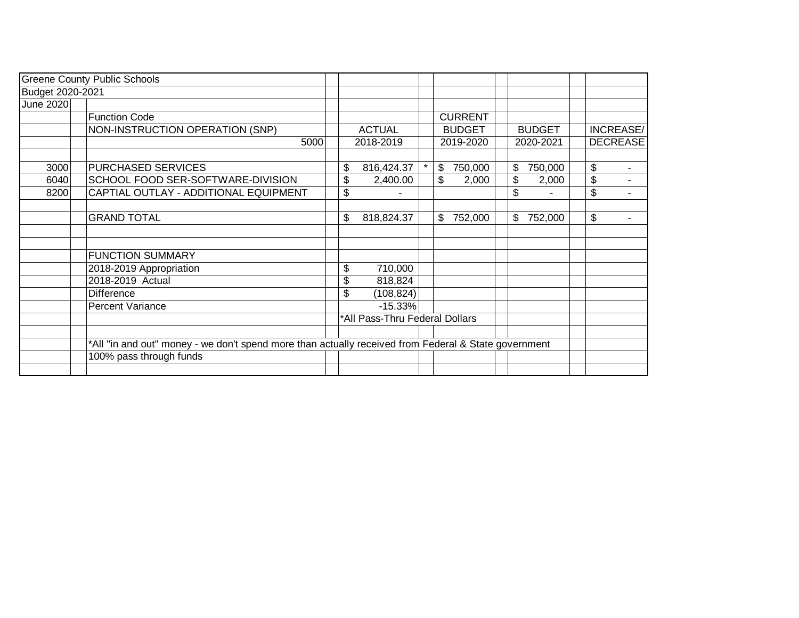|                  | <b>Greene County Public Schools</b>                                                                  |                                |         |                |               |                 |                          |
|------------------|------------------------------------------------------------------------------------------------------|--------------------------------|---------|----------------|---------------|-----------------|--------------------------|
| Budget 2020-2021 |                                                                                                      |                                |         |                |               |                 |                          |
| June 2020        |                                                                                                      |                                |         |                |               |                 |                          |
|                  | Function Code                                                                                        |                                |         | <b>CURRENT</b> |               |                 |                          |
|                  | NON-INSTRUCTION OPERATION (SNP)                                                                      | <b>ACTUAL</b>                  |         | <b>BUDGET</b>  | <b>BUDGET</b> | INCREASE/       |                          |
|                  | 5000                                                                                                 | 2018-2019                      |         | 2019-2020      | 2020-2021     | <b>DECREASE</b> |                          |
| 3000             | <b>PURCHASED SERVICES</b>                                                                            | \$<br>816,424.37               | $\star$ | \$<br>750,000  | 750,000<br>\$ | \$              | $\overline{\phantom{a}}$ |
| 6040             | SCHOOL FOOD SER-SOFTWARE-DIVISION                                                                    | \$<br>2,400.00                 |         | \$<br>2,000    | \$<br>2,000   | \$              |                          |
| 8200             | CAPTIAL OUTLAY - ADDITIONAL EQUIPMENT                                                                | \$                             |         |                | \$            | \$              |                          |
|                  | <b>GRAND TOTAL</b>                                                                                   | \$<br>818,824.37               |         | \$<br>752,000  | 752,000<br>\$ | \$              | $\blacksquare$           |
|                  | <b>FUNCTION SUMMARY</b>                                                                              |                                |         |                |               |                 |                          |
|                  | 2018-2019 Appropriation                                                                              | \$<br>710,000                  |         |                |               |                 |                          |
|                  | 2018-2019 Actual                                                                                     | \$<br>818,824                  |         |                |               |                 |                          |
|                  | <b>Difference</b>                                                                                    | \$<br>(108, 824)               |         |                |               |                 |                          |
|                  | Percent Variance                                                                                     | $-15.33%$                      |         |                |               |                 |                          |
|                  |                                                                                                      | *All Pass-Thru Federal Dollars |         |                |               |                 |                          |
|                  | *All "in and out" money - we don't spend more than actually received from Federal & State government |                                |         |                |               |                 |                          |
|                  | 100% pass through funds                                                                              |                                |         |                |               |                 |                          |
|                  |                                                                                                      |                                |         |                |               |                 |                          |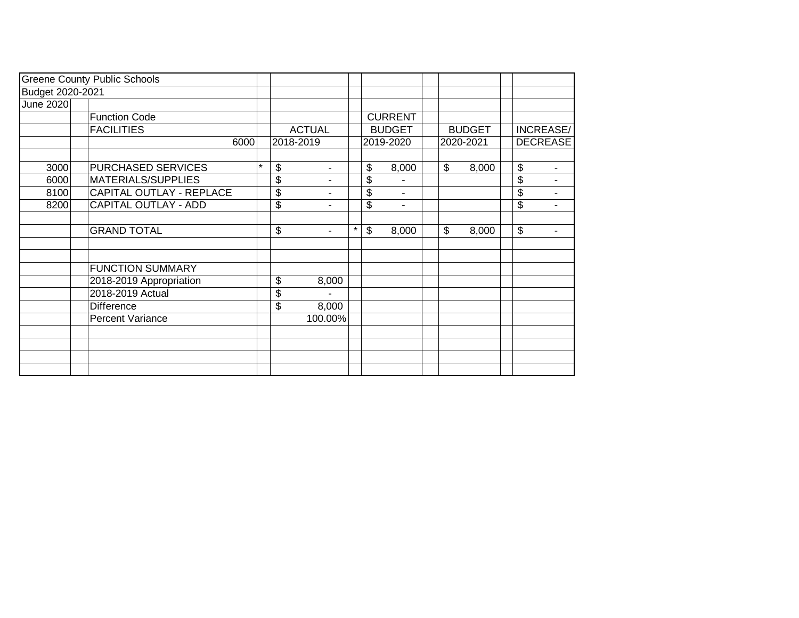|                  | <b>Greene County Public Schools</b> |         |               |   |                           |                |    |               |                           |                |
|------------------|-------------------------------------|---------|---------------|---|---------------------------|----------------|----|---------------|---------------------------|----------------|
| Budget 2020-2021 |                                     |         |               |   |                           |                |    |               |                           |                |
| June 2020        |                                     |         |               |   |                           |                |    |               |                           |                |
|                  | <b>Function Code</b>                |         |               |   |                           | <b>CURRENT</b> |    |               |                           |                |
|                  | <b>FACILITIES</b>                   |         | <b>ACTUAL</b> |   |                           | <b>BUDGET</b>  |    | <b>BUDGET</b> | <b>INCREASE/</b>          |                |
|                  | 6000                                |         | 2018-2019     |   |                           | 2019-2020      |    | 2020-2021     | <b>DECREASE</b>           |                |
| 3000             | <b>PURCHASED SERVICES</b>           | $\star$ | \$            |   | \$                        | 8,000          | \$ | 8,000         | \$                        | $\blacksquare$ |
| 6000             | MATERIALS/SUPPLIES                  |         | \$            |   | \$                        |                |    |               | \$                        | ۰              |
| 8100             | CAPITAL OUTLAY - REPLACE            |         | \$            |   | \$                        | $\blacksquare$ |    |               | \$                        | $\blacksquare$ |
| 8200             | <b>CAPITAL OUTLAY - ADD</b>         |         | \$<br>۰       |   | \$                        | $\blacksquare$ |    |               | $\frac{1}{2}$             | $\blacksquare$ |
|                  | <b>GRAND TOTAL</b>                  |         | \$<br>$\sim$  | * | $\boldsymbol{\mathsf{S}}$ | 8,000          | \$ | 8,000         | $\boldsymbol{\mathsf{S}}$ | ۰              |
|                  | <b>FUNCTION SUMMARY</b>             |         |               |   |                           |                |    |               |                           |                |
|                  | 2018-2019 Appropriation             |         | \$<br>8,000   |   |                           |                |    |               |                           |                |
|                  | 2018-2019 Actual                    |         | \$            |   |                           |                |    |               |                           |                |
|                  | <b>Difference</b>                   |         | \$<br>8,000   |   |                           |                |    |               |                           |                |
|                  | Percent Variance                    |         | 100.00%       |   |                           |                |    |               |                           |                |
|                  |                                     |         |               |   |                           |                |    |               |                           |                |
|                  |                                     |         |               |   |                           |                |    |               |                           |                |
|                  |                                     |         |               |   |                           |                |    |               |                           |                |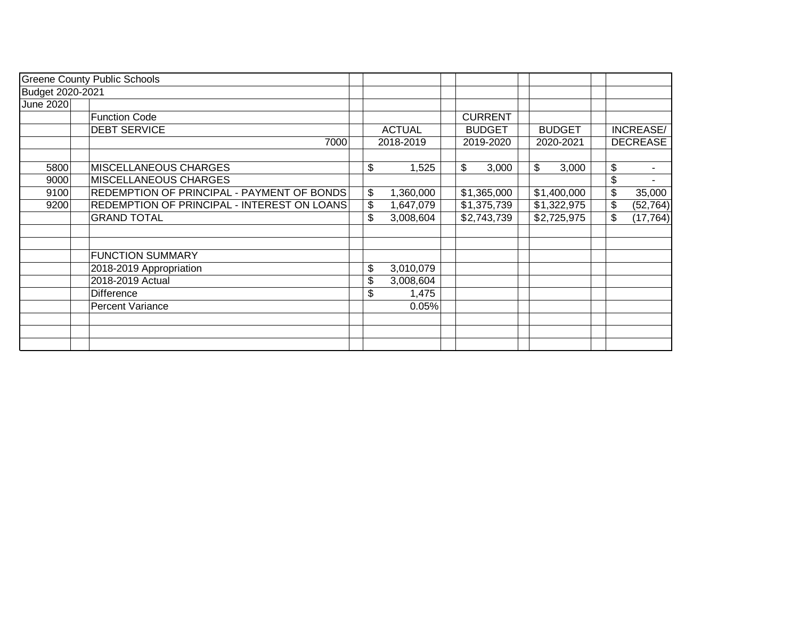| <b>Greene County Public Schools</b> |                                             |  |    |               |                |               |    |                 |
|-------------------------------------|---------------------------------------------|--|----|---------------|----------------|---------------|----|-----------------|
| Budget 2020-2021                    |                                             |  |    |               |                |               |    |                 |
| June 2020                           |                                             |  |    |               |                |               |    |                 |
|                                     | <b>Function Code</b>                        |  |    |               | <b>CURRENT</b> |               |    |                 |
|                                     | <b>DEBT SERVICE</b>                         |  |    | <b>ACTUAL</b> | <b>BUDGET</b>  | <b>BUDGET</b> |    | INCREASE/       |
|                                     | 7000                                        |  |    | 2018-2019     | 2019-2020      | 2020-2021     |    | <b>DECREASE</b> |
|                                     |                                             |  |    |               |                |               |    |                 |
| 5800                                | <b>MISCELLANEOUS CHARGES</b>                |  | \$ | 1,525         | \$<br>3,000    | \$<br>3,000   | \$ |                 |
| 9000                                | MISCELLANEOUS CHARGES                       |  |    |               |                |               | \$ |                 |
| 9100                                | REDEMPTION OF PRINCIPAL - PAYMENT OF BONDS  |  | \$ | 1,360,000     | \$1,365,000    | \$1,400,000   | \$ | 35,000          |
| 9200                                | REDEMPTION OF PRINCIPAL - INTEREST ON LOANS |  | \$ | 1,647,079     | \$1,375,739    | \$1,322,975   | \$ | (52, 764)       |
|                                     | <b>GRAND TOTAL</b>                          |  | \$ | 3,008,604     | \$2,743,739    | \$2,725,975   | \$ | (17, 764)       |
|                                     |                                             |  |    |               |                |               |    |                 |
|                                     |                                             |  |    |               |                |               |    |                 |
|                                     | <b>FUNCTION SUMMARY</b>                     |  |    |               |                |               |    |                 |
|                                     | 2018-2019 Appropriation                     |  | \$ | 3,010,079     |                |               |    |                 |
|                                     | 2018-2019 Actual                            |  | \$ | 3,008,604     |                |               |    |                 |
|                                     | <b>Difference</b>                           |  | \$ | 1,475         |                |               |    |                 |
|                                     | <b>Percent Variance</b>                     |  |    | 0.05%         |                |               |    |                 |
|                                     |                                             |  |    |               |                |               |    |                 |
|                                     |                                             |  |    |               |                |               |    |                 |
|                                     |                                             |  |    |               |                |               |    |                 |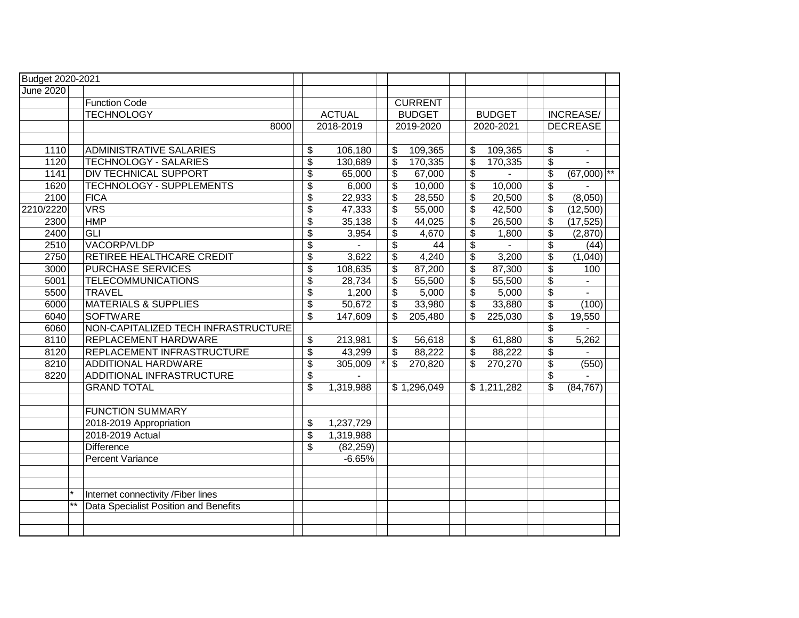| Budget 2020-2021 |                                                |                                  |               |                          |                |                          |               |                                      |                 |              |
|------------------|------------------------------------------------|----------------------------------|---------------|--------------------------|----------------|--------------------------|---------------|--------------------------------------|-----------------|--------------|
| <b>June 2020</b> |                                                |                                  |               |                          |                |                          |               |                                      |                 |              |
|                  | <b>Function Code</b>                           |                                  |               |                          | <b>CURRENT</b> |                          |               |                                      |                 |              |
|                  | <b>TECHNOLOGY</b>                              |                                  | <b>ACTUAL</b> |                          | <b>BUDGET</b>  |                          | <b>BUDGET</b> |                                      | INCREASE/       |              |
|                  | 8000                                           |                                  | 2018-2019     |                          | 2019-2020      |                          | 2020-2021     |                                      | <b>DECREASE</b> |              |
|                  |                                                |                                  |               |                          |                |                          |               |                                      |                 |              |
| 1110             | <b>ADMINISTRATIVE SALARIES</b>                 | \$                               | 106,180       | $\overline{\$}$          | 109,365        | \$                       | 109,365       | $\boldsymbol{\mathsf{S}}$            | $\sim$          |              |
| 1120             | <b>TECHNOLOGY - SALARIES</b>                   | $\overline{\mathcal{S}}$         | 130,689       | $\overline{\mathcal{S}}$ | 170,335        | \$                       | 170,335       | $\overline{\mathcal{S}}$             |                 |              |
| 1141             | <b>DIV TECHNICAL SUPPORT</b>                   | $\overline{\mathcal{L}}$         | 65,000        | $\overline{\mathcal{L}}$ | 67,000         | $\overline{\mathcal{L}}$ |               | $\overline{\mathcal{L}}$             | (67,000)        | $\star\star$ |
| 1620             | <b>TECHNOLOGY - SUPPLEMENTS</b>                | $\overline{\mathcal{S}}$         | 6,000         | \$                       | 10,000         | $\overline{\mathbf{e}}$  | 10,000        | $\overline{\boldsymbol{\theta}}$     |                 |              |
| 2100             | <b>FICA</b>                                    | $\overline{\boldsymbol{\theta}}$ | 22,933        | \$                       | 28,550         | \$                       | 20,500        | $\overline{\mathcal{S}}$             | (8,050)         |              |
| 2210/2220        | <b>VRS</b>                                     | $\overline{\mathcal{L}}$         | 47,333        | \$                       | 55,000         | \$                       | 42,500        | \$                                   | (12,500)        |              |
| 2300             | <b>HMP</b>                                     | $\overline{\mathcal{S}}$         | 35,138        | \$                       | 44,025         | $\overline{\mathcal{E}}$ | 26,500        | $\overline{\boldsymbol{\theta}}$     | (17, 525)       |              |
| 2400             | <b>GLI</b>                                     | $\overline{\$}$                  | 3,954         | \$                       | 4,670          | \$                       | 1,800         | $\boldsymbol{\theta}$                | (2,870)         |              |
| 2510             | VACORP/VLDP                                    | $\overline{\mathcal{S}}$         |               | $\overline{\$}$          | 44             | $\overline{\$}$          |               | $\overline{\mathcal{S}}$             | (44)            |              |
| 2750             | RETIREE HEALTHCARE CREDIT                      | $\overline{\mathcal{S}}$         | 3,622         | \$                       | 4,240          | $\overline{\mathcal{S}}$ | 3,200         | $\overline{\boldsymbol{\mathsf{s}}}$ | (1,040)         |              |
| 3000             | <b>PURCHASE SERVICES</b>                       | $\overline{\mathcal{S}}$         | 108,635       | \$                       | 87,200         | \$                       | 87,300        | $\overline{\$}$                      | 100             |              |
| 5001             | <b>TELECOMMUNICATIONS</b>                      | $\overline{\mathcal{S}}$         | 28,734        | \$                       | 55,500         | $\overline{\mathcal{S}}$ | 55,500        | $\overline{\mathfrak{s}}$            | $\mathbf{r}$    |              |
| 5500             | <b>TRAVEL</b>                                  | \$                               | 1,200         | \$                       | 5,000          | \$                       | 5,000         | $\frac{1}{2}$                        | $\blacksquare$  |              |
| 6000             | <b>MATERIALS &amp; SUPPLIES</b>                | $\overline{\$}$                  | 50,672        | $\overline{\mathcal{L}}$ | 33,980         | $\overline{\mathcal{L}}$ | 33,880        | $\overline{\mathcal{E}}$             | (100)           |              |
| 6040             | <b>SOFTWARE</b>                                | $\overline{\mathcal{S}}$         | 147,609       | \$                       | 205,480        | \$                       | 225,030       | $\overline{\boldsymbol{\mathsf{s}}}$ | 19,550          |              |
| 6060             | NON-CAPITALIZED TECH INFRASTRUCTURE            |                                  |               |                          |                |                          |               | $\frac{1}{2}$                        |                 |              |
| 8110             | <b>REPLACEMENT HARDWARE</b>                    | $\overline{\$}$                  | 213,981       | \$                       | 56,618         | \$                       | 61,880        | $\overline{\$}$                      | 5,262           |              |
| 8120             | REPLACEMENT INFRASTRUCTURE                     | $\overline{\$}$                  | 43,299        | \$                       | 88,222         | \$                       | 88,222        | $\overline{\boldsymbol{\mathsf{s}}}$ |                 |              |
| 8210             | ADDITIONAL HARDWARE                            | $\sqrt{3}$                       | 305,009       | \$                       | 270,820        | \$                       | 270,270       | \$                                   | (550)           |              |
| 8220             | ADDITIONAL INFRASTRUCTURE                      | $\overline{\$}$                  |               |                          |                |                          |               | $\boldsymbol{\mathsf{S}}$            |                 |              |
|                  | <b>GRAND TOTAL</b>                             | $\overline{\$}$                  | 1,319,988     |                          | \$1,296,049    |                          | \$1,211,282   | $\overline{\mathfrak{s}}$            | (84, 767)       |              |
|                  |                                                |                                  |               |                          |                |                          |               |                                      |                 |              |
|                  | <b>FUNCTION SUMMARY</b>                        |                                  |               |                          |                |                          |               |                                      |                 |              |
|                  | 2018-2019 Appropriation                        | \$                               | 1,237,729     |                          |                |                          |               |                                      |                 |              |
|                  | 2018-2019 Actual                               | $\overline{\$}$                  | 1,319,988     |                          |                |                          |               |                                      |                 |              |
|                  | <b>Difference</b>                              | \$                               | (82, 259)     |                          |                |                          |               |                                      |                 |              |
|                  | <b>Percent Variance</b>                        |                                  | $-6.65%$      |                          |                |                          |               |                                      |                 |              |
|                  |                                                |                                  |               |                          |                |                          |               |                                      |                 |              |
|                  |                                                |                                  |               |                          |                |                          |               |                                      |                 |              |
|                  | Internet connectivity /Fiber lines             |                                  |               |                          |                |                          |               |                                      |                 |              |
|                  | $***$<br>Data Specialist Position and Benefits |                                  |               |                          |                |                          |               |                                      |                 |              |
|                  |                                                |                                  |               |                          |                |                          |               |                                      |                 |              |
|                  |                                                |                                  |               |                          |                |                          |               |                                      |                 |              |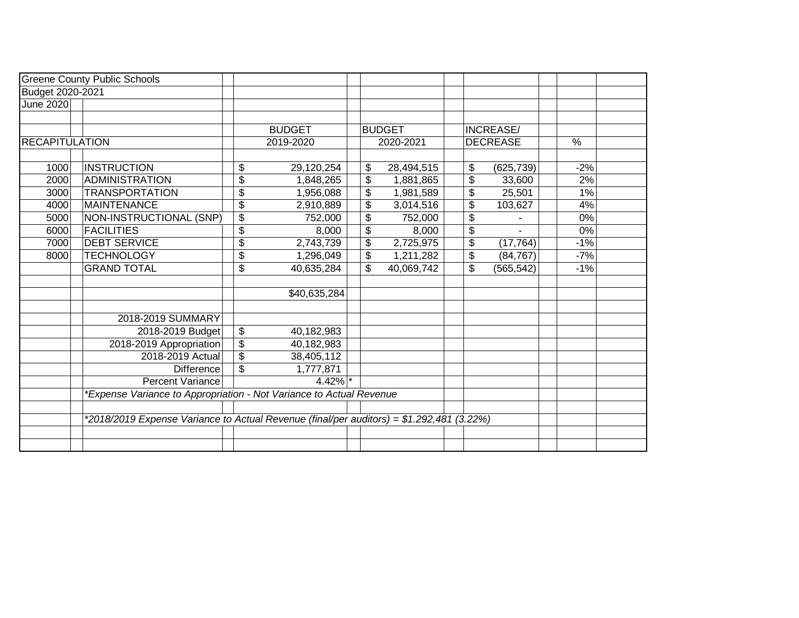|                       | <b>Greene County Public Schools</b>                                                      |                                                      |    |               |    |                  |       |  |
|-----------------------|------------------------------------------------------------------------------------------|------------------------------------------------------|----|---------------|----|------------------|-------|--|
| Budget 2020-2021      |                                                                                          |                                                      |    |               |    |                  |       |  |
| June 2020             |                                                                                          |                                                      |    |               |    |                  |       |  |
|                       |                                                                                          |                                                      |    |               |    |                  |       |  |
|                       |                                                                                          | <b>BUDGET</b>                                        |    | <b>BUDGET</b> |    | <b>INCREASE/</b> |       |  |
| <b>RECAPITULATION</b> |                                                                                          | 2019-2020                                            |    | 2020-2021     |    | <b>DECREASE</b>  | $\%$  |  |
|                       |                                                                                          |                                                      |    |               |    |                  |       |  |
| 1000                  | <b>INSTRUCTION</b>                                                                       | \$<br>29,120,254                                     | \$ | 28,494,515    | \$ | (625, 739)       | $-2%$ |  |
| 2000                  | <b>ADMINISTRATION</b>                                                                    | $\overline{\mathbb{S}}$<br>1,848,265                 | \$ | 1,881,865     | \$ | 33,600           | 2%    |  |
| 3000                  | <b>TRANSPORTATION</b>                                                                    | \$<br>1,956,088                                      | \$ | 1,981,589     | \$ | 25,501           | 1%    |  |
| 4000                  | <b>MAINTENANCE</b>                                                                       | $\overline{\mathcal{S}}$<br>2,910,889                | \$ | 3,014,516     | \$ | 103,627          | 4%    |  |
| 5000                  | NON-INSTRUCTIONAL (SNP)                                                                  | $\overline{\$}$<br>752,000                           | \$ | 752,000       | \$ |                  | 0%    |  |
| 6000                  | <b>FACILITIES</b>                                                                        | \$<br>8,000                                          | \$ | 8,000         | \$ |                  | 0%    |  |
| 7000                  | <b>DEBT SERVICE</b>                                                                      | \$<br>2,743,739                                      | \$ | 2,725,975     | \$ | (17, 764)        | $-1%$ |  |
| 8000                  | <b>TECHNOLOGY</b>                                                                        | $\overline{\$}$<br>1,296,049                         | \$ | 1,211,282     | \$ | (84, 767)        | $-7%$ |  |
|                       | <b>GRAND TOTAL</b>                                                                       | $\overline{\mathcal{S}}$<br>40,635,284               | \$ | 40,069,742    | \$ | (565, 542)       | $-1%$ |  |
|                       |                                                                                          |                                                      |    |               |    |                  |       |  |
|                       |                                                                                          | \$40,635,284                                         |    |               |    |                  |       |  |
|                       |                                                                                          |                                                      |    |               |    |                  |       |  |
|                       | 2018-2019 SUMMARY                                                                        |                                                      |    |               |    |                  |       |  |
|                       | 2018-2019 Budget                                                                         | \$<br>40,182,983                                     |    |               |    |                  |       |  |
|                       | 2018-2019 Appropriation                                                                  | \$<br>40,182,983                                     |    |               |    |                  |       |  |
|                       | 2018-2019 Actual                                                                         | $\overline{\boldsymbol{\mathfrak{s}}}$<br>38,405,112 |    |               |    |                  |       |  |
|                       | <b>Difference</b>                                                                        | \$<br>1,777,871                                      |    |               |    |                  |       |  |
|                       | <b>Percent Variance</b>                                                                  | $4.42\%$ *                                           |    |               |    |                  |       |  |
|                       | *Expense Variance to Appropriation - Not Variance to Actual Revenue                      |                                                      |    |               |    |                  |       |  |
|                       |                                                                                          |                                                      |    |               |    |                  |       |  |
|                       | *2018/2019 Expense Variance to Actual Revenue (final/per auditors) = \$1.292,481 (3.22%) |                                                      |    |               |    |                  |       |  |
|                       |                                                                                          |                                                      |    |               |    |                  |       |  |
|                       |                                                                                          |                                                      |    |               |    |                  |       |  |